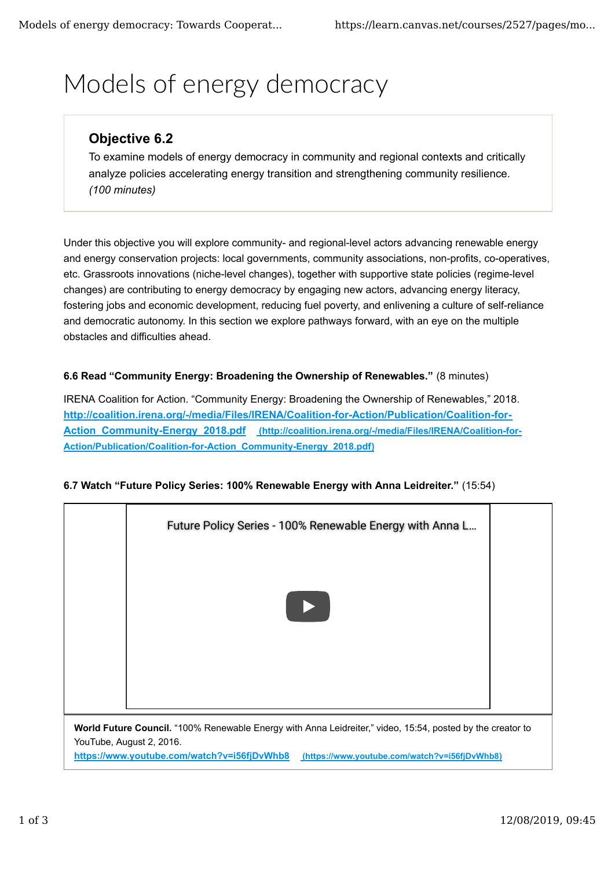# Models of energy democracy

## **Objective 6.2**

To examine models of energy democracy in community and regional contexts and critically analyze policies accelerating energy transition and strengthening community resilience. *(100 minutes)*

Under this objective you will explore community- and regional-level actors advancing renewable energy and energy conservation projects: local governments, community associations, non-profits, co-operatives, etc. Grassroots innovations (niche-level changes), together with supportive state policies (regime-level changes) are contributing to energy democracy by engaging new actors, advancing energy literacy, fostering jobs and economic development, reducing fuel poverty, and enlivening a culture of self-reliance and democratic autonomy. In this section we explore pathways forward, with an eye on the multiple obstacles and difficulties ahead.

#### **6.6 Read "Community Energy: Broadening the Ownership of Renewables."** (8 minutes)

IRENA Coalition for Action. "Community Energy: Broadening the Ownership of Renewables," 2018. **http://coalition.irena.org/-/media/Files/IRENA/Coalition-for-Action/Publication/Coalition-for-**Action Community-Energy 2018.pdf (http://coalition.irena.org/-/media/Files/IRENA/Coalition-for-**Action/Publication/Coalition-for-Action\_Community-Energy\_2018.pdf)**



### **6.7 Watch "Future Policy Series: 100% Renewable Energy with Anna Leidreiter."** (15:54)